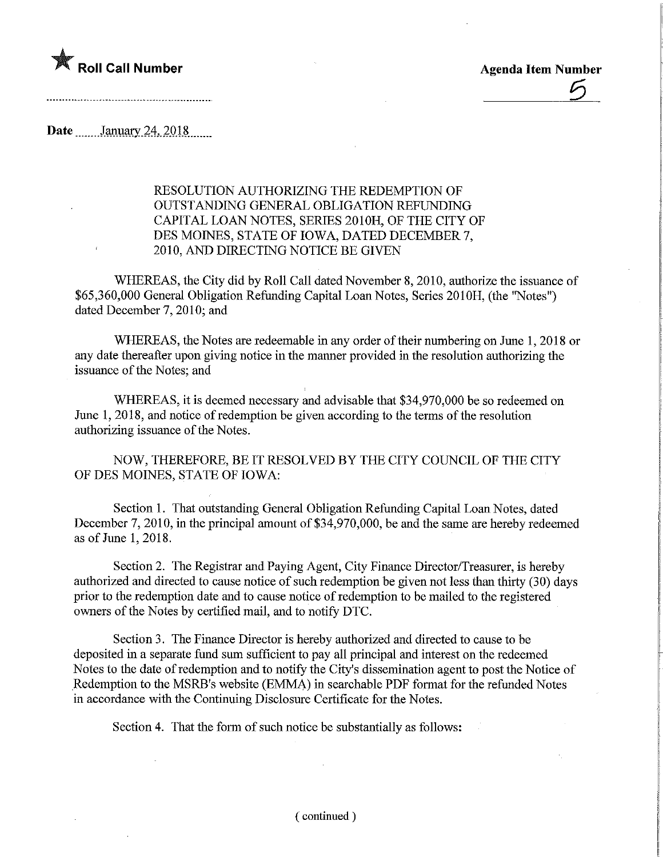

 $\overline{5}$ 

Date ........ January 24, 2018

## RESOLUTION AUTHORIZING THE REDEMPTION OF OUTSTANDWG GENERAL OBLIGATION REFUNDING CAPITAL LOAN NOTES, SERIES 2010H, OF THE CITY OF DES MOINES, STATE OF IOWA, DATED DECEMBER 7, 2010, AND DIRECTING NOTICE BE GIVEN

WHEREAS, the City did by Roll Call dated November 8, 2010, authorize the issuance of \$65,360,000 General Obligation Refunding Capital Loan Notes, Series 2010H, (the "Notes") dated December 7, 2010; and

WHEREAS, the Notes are redeemable in any order of their numbering on June 1, 2018 or any date thereafter upon giving notice in the manner provided in the resolution authorizing the issuance of the Notes; and

WHEREAS, it is deemed necessary and advisable that \$34,970,000 be so redeemed on June 1, 2018, and notice of redemption be given according to the terms of the resolution authorizing issuance of the Notes.

NOW, THEREFORE, BE IT RESOLVED BY THE CITY COUNCIL OF THE CITY OF DES MOINES, STATE OF IOWA:

Section 1. That outstanding General Obligation Refunding Capital Loan Notes, dated December 7, 2010, in the principal amount of \$34,970,000, be and the same are hereby redeemed as of June 1, 2018.

Section 2. The Registrar and Paying Agent, City Finance Director/Treasurer, is hereby authorized and directed to cause notice of such redemption be given not less than thirty (30) days prior to the redemption date and to cause notice of redemption to be mailed to the registered owners of the Notes by certified mail, and to notify DTC.

Section 3. The Finance Director is hereby authorized and directed to cause to be deposited in a separate fund sum sufficient to pay all principal and interest on the redeemed Notes to the date of redemption and to notify the City's dissemination agent to post the Notice of Redemption to the MSRB's website (EMMA) in searchable PDF format for the refunded Notes in accordance with the Continuing Disclosure Certificate for the Notes.

Section 4. That the form of such notice be substantially as follows: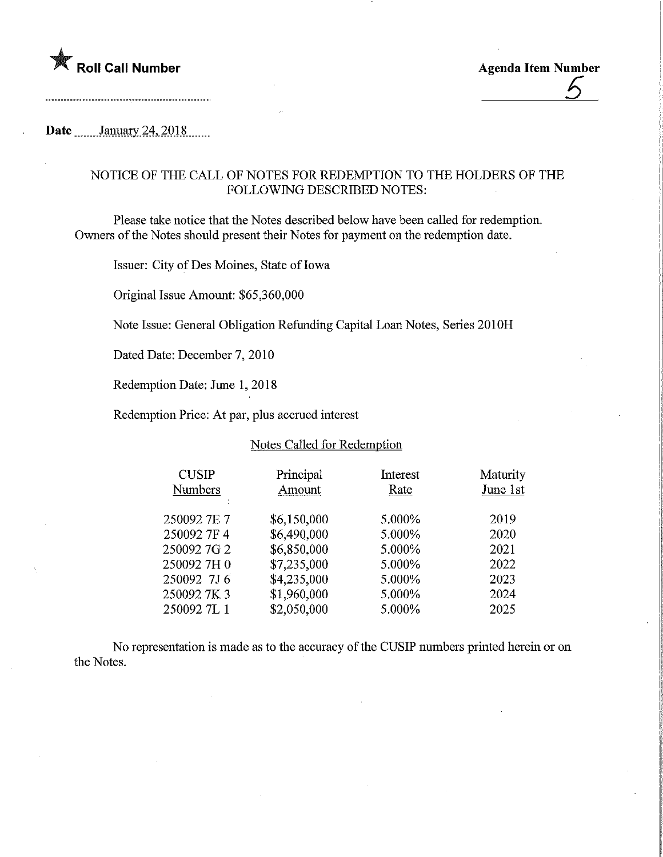

6

## Date .......January.24, 2018.......

## NOTICE OF THE CALL OF NOTES FOR REDEMPTION TO THE HOLDERS OF THE FOLLOWING DESCRIBED NOTES:

Please take notice that the Notes described below have been called for redemption. Owners of the Notes should present their Notes for payment on the redemption date.

Issuer: City of Des Moines, State of Iowa

Original Issue Amount: \$65,360,000

Note Issue: General Obligation Refunding Capital Loan Notes, Series 2010H

Dated Date: December 7, 2010

Redemption Date: June 1, 2018

Redemption Price: At par, plus accrued interest

## Notes Called for Redemption

| <b>CUSIP</b><br><b>Numbers</b> | Principal<br>Amount | Interest<br>Rate | Maturity<br>June 1st |
|--------------------------------|---------------------|------------------|----------------------|
| 2500927E7                      | \$6,150,000         | 5.000%           | 2019                 |
| 250092 7F 4                    | \$6,490,000         | 5.000%           | 2020                 |
| 2500927G2                      | \$6,850,000         | 5.000%           | 2021                 |
| 2500927H0                      | \$7,235,000         | 5.000%           | 2022                 |
| 250092 7J6                     | \$4,235,000         | 5.000%           | 2023                 |
| 2500927K3                      | \$1,960,000         | 5.000%           | 2024                 |
| 2500927L1                      | \$2,050,000         | 5.000%           | 2025                 |

No representation is made as to the accuracy of the CUSIP numbers printed herein or on the Notes.